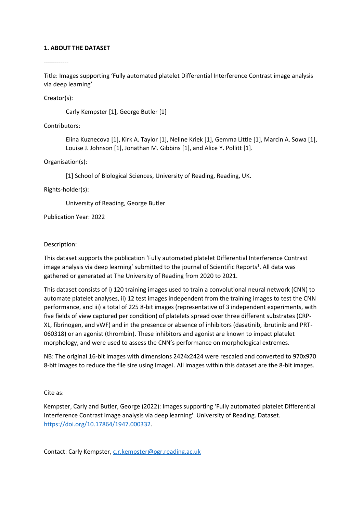# **1. ABOUT THE DATASET**

------------

Title: Images supporting 'Fully automated platelet Differential Interference Contrast image analysis via deep learning'

Creator(s):

Carly Kempster [1], George Butler [1]

Contributors:

Elina Kuznecova [1], Kirk A. Taylor [1], Neline Kriek [1], Gemma Little [1], Marcin A. Sowa [1], Louise J. Johnson [1], Jonathan M. Gibbins [1], and Alice Y. Pollitt [1].

Organisation(s):

[1] School of Biological Sciences, University of Reading, Reading, UK.

Rights-holder(s):

University of Reading, George Butler

Publication Year: 2022

Description:

This dataset supports the publication 'Fully automated platelet Differential Interference Contrast image analysis via deep learning' submitted to the journal of Scientific Reports<sup>1</sup>. All data was gathered or generated at The University of Reading from 2020 to 2021.

This dataset consists of i) 120 training images used to train a convolutional neural network (CNN) to automate platelet analyses, ii) 12 test images independent from the training images to test the CNN performance, and iii) a total of 225 8-bit images (representative of 3 independent experiments, with five fields of view captured per condition) of platelets spread over three different substrates (CRP-XL, fibrinogen, and vWF) and in the presence or absence of inhibitors (dasatinib, ibrutinib and PRT-060318) or an agonist (thrombin). These inhibitors and agonist are known to impact platelet morphology, and were used to assess the CNN's performance on morphological extremes.

NB: The original 16-bit images with dimensions 2424x2424 were rescaled and converted to 970x970 8-bit images to reduce the file size using ImageJ. All images within this dataset are the 8-bit images.

Cite as:

Kempster, Carly and Butler, George (2022): Images supporting 'Fully automated platelet Differential Interference Contrast image analysis via deep learning'. University of Reading. Dataset. [https://doi.org/10.17864/1947.000332.](https://doi.org/10.17864/1947.000332)

Contact: Carly Kempster, [c.r.kempster@pgr.reading.ac.uk](mailto:c.r.kempster@pgr.reading.ac.uk)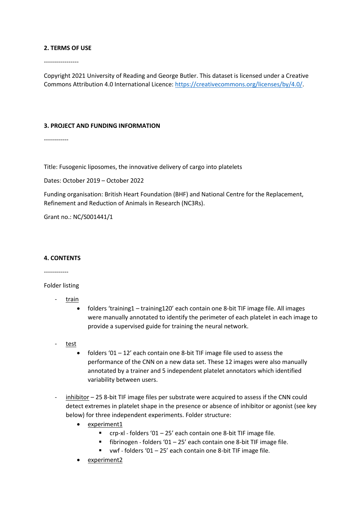### **2. TERMS OF USE**

-----------------

Copyright 2021 University of Reading and George Butler. This dataset is licensed under a Creative Commons Attribution 4.0 International Licence: [https://creativecommons.org/licenses/by/4.0/.](https://creativecommons.org/licenses/by/4.0/)

### **3. PROJECT AND FUNDING INFORMATION**

------------

Title: Fusogenic liposomes, the innovative delivery of cargo into platelets

Dates: October 2019 – October 2022

Funding organisation: British Heart Foundation (BHF) and National Centre for the Replacement, Refinement and Reduction of Animals in Research (NC3Rs).

Grant no.: NC/S001441/1

### **4. CONTENTS**

------------

Folder listing

- train
	- folders 'training1 training120' each contain one 8-bit TIF image file. All images were manually annotated to identify the perimeter of each platelet in each image to provide a supervised guide for training the neural network.
- test
	- folders '01  $-$  12' each contain one 8-bit TIF image file used to assess the performance of the CNN on a new data set. These 12 images were also manually annotated by a trainer and 5 independent platelet annotators which identified variability between users.
- inhibitor 25 8-bit TIF image files per substrate were acquired to assess if the CNN could detect extremes in platelet shape in the presence or absence of inhibitor or agonist (see key below) for three independent experiments. Folder structure:
	- experiment1
		- $\blacksquare$  crp-xl folders '01 25' each contain one 8-bit TIF image file.
		- fibrinogen folders '01 25' each contain one 8-bit TIF image file.
		- $vwf$  folders '01 25' each contain one 8-bit TIF image file.
	- experiment2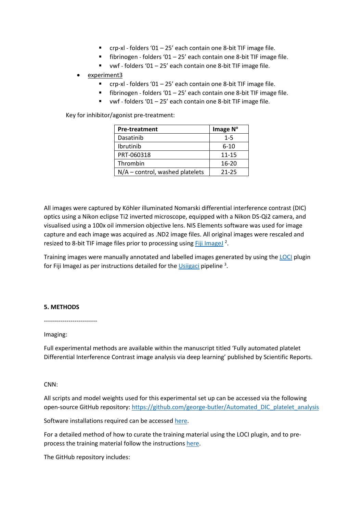- $r_{\text{cr}}$  crp-xl folders '01 25' each contain one 8-bit TIF image file.
- $\blacksquare$  fibrinogen folders '01 25' each contain one 8-bit TIF image file.
- vwf folders '01 25' each contain one 8-bit TIF image file.

# experiment3

- $\blacksquare$  crp-xl folders '01 25' each contain one 8-bit TIF image file.
- $\blacksquare$  fibrinogen folders '01 25' each contain one 8-bit TIF image file.
- $vwf$  folders '01 25' each contain one 8-bit TIF image file.

Key for inhibitor/agonist pre-treatment:

| <b>Pre-treatment</b>              | Image N°  |
|-----------------------------------|-----------|
| Dasatinib                         | $1 - 5$   |
| <b>Ibrutinib</b>                  | $6 - 10$  |
| PRT-060318                        | $11 - 15$ |
| Thrombin                          | $16 - 20$ |
| $N/A$ – control, washed platelets | 21-25     |

All images were captured by Köhler illuminated Nomarski differential interference contrast (DIC) optics using a Nikon eclipse Ti2 inverted microscope, equipped with a Nikon DS-Qi2 camera, and visualised using a 100x oil immersion objective lens. NIS Elements software was used for image capture and each image was acquired as .ND2 image files. All original images were rescaled and resized to 8-bit TIF image files prior to processing using [Fiji ImageJ](https://imagej.net/software/fiji/)<sup>2</sup>.

Training images were manually annotated and labelled images generated by using th[e LOCI](https://eliceirilab.org/) plugin for Fiji ImageJ as per instructions detailed for the *Usiigaci* pipeline<sup>3</sup>.

### **5. METHODS**

--------------------------

#### Imaging:

Full experimental methods are available within the manuscript titled 'Fully automated platelet Differential Interference Contrast image analysis via deep learning' published by Scientific Reports.

## CNN:

All scripts and model weights used for this experimental set up can be accessed via the following open-source GitHub repository: [https://github.com/george-butler/Automated\\_DIC\\_platelet\\_analysis](https://github.com/george-butler/Automated_DIC_platelet_analysis)

Software installations required can be accesse[d here.](https://github.com/oist/Usiigaci#dependencies)

For a detailed method of how to curate the training material using the LOCI plugin, and to preprocess the training material follow the instructions [here.](https://github.com/george-butler/Automated_DIC_platelet_analysis#how-to-make-your-own-training-data-and-trained-network)

The GitHub repository includes: